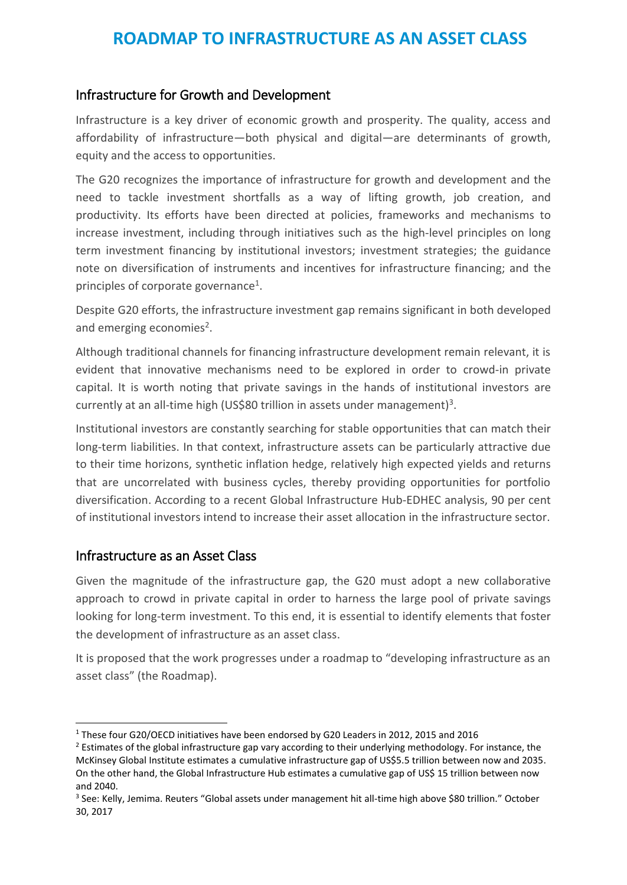## Infrastructure for Growth and Development

Infrastructure is a key driver of economic growth and prosperity. The quality, access and affordability of infrastructure—both physical and digital—are determinants of growth, equity and the access to opportunities.

The G20 recognizes the importance of infrastructure for growth and development and the need to tackle investment shortfalls as a way of lifting growth, job creation, and productivity. Its efforts have been directed at policies, frameworks and mechanisms to increase investment, including through initiatives such as the high-level principles on long term investment financing by institutional investors; investment strategies; the guidance note on diversification of instruments and incentives for infrastructure financing; and the principles of corporate governance<sup>1</sup>.

Despite G20 efforts, the infrastructure investment gap remains significant in both developed and emerging economies<sup>2</sup>.

Although traditional channels for financing infrastructure development remain relevant, it is evident that innovative mechanisms need to be explored in order to crowd-in private capital. It is worth noting that private savings in the hands of institutional investors are currently at an all-time high (US\$80 trillion in assets under management)<sup>3</sup>.

Institutional investors are constantly searching for stable opportunities that can match their long-term liabilities. In that context, infrastructure assets can be particularly attractive due to their time horizons, synthetic inflation hedge, relatively high expected yields and returns that are uncorrelated with business cycles, thereby providing opportunities for portfolio diversification. According to a recent Global Infrastructure Hub-EDHEC analysis, 90 per cent of institutional investors intend to increase their asset allocation in the infrastructure sector.

## Infrastructure as an Asset Class

-

Given the magnitude of the infrastructure gap, the G20 must adopt a new collaborative approach to crowd in private capital in order to harness the large pool of private savings looking for long-term investment. To this end, it is essential to identify elements that foster the development of infrastructure as an asset class.

It is proposed that the work progresses under a roadmap to "developing infrastructure as an asset class" (the Roadmap).

<sup>1</sup> These four G20/OECD initiatives have been endorsed by G20 Leaders in 2012, 2015 and 2016

<sup>&</sup>lt;sup>2</sup> Estimates of the global infrastructure gap vary according to their underlying methodology. For instance, the McKinsey Global Institute estimates a cumulative infrastructure gap of US\$5.5 trillion between now and 2035. On the other hand, the Global Infrastructure Hub estimates a cumulative gap of US\$ 15 trillion between now and 2040.

<sup>3</sup> See: Kelly, Jemima. Reuters "Global assets under management hit all-time high above \$80 trillion." October 30, 2017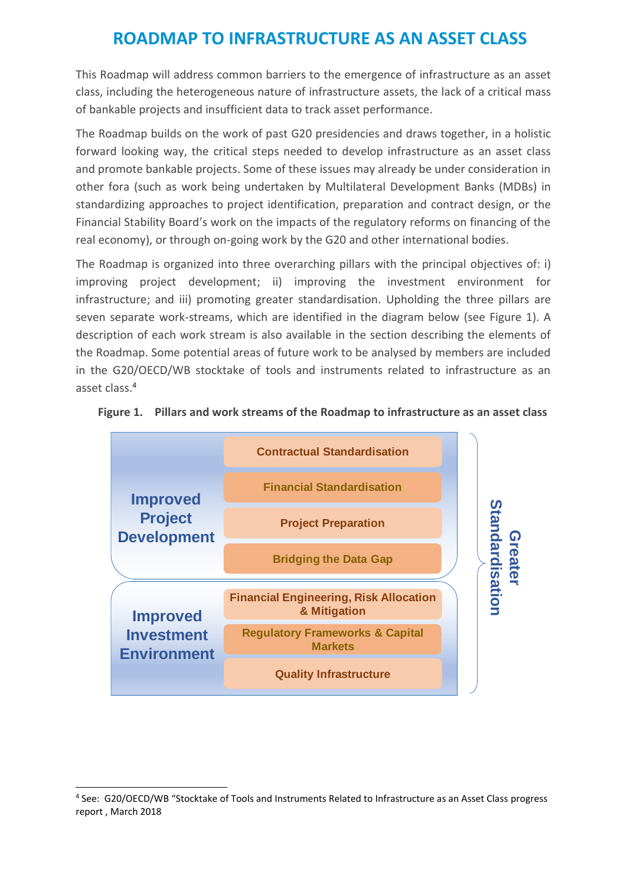This Roadmap will address common barriers to the emergence of infrastructure as an asset class, including the heterogeneous nature of infrastructure assets, the lack of a critical mass of bankable projects and insufficient data to track asset performance.

The Roadmap builds on the work of past G20 presidencies and draws together, in a holistic forward looking way, the critical steps needed to develop infrastructure as an asset class and promote bankable projects. Some of these issues may already be under consideration in other fora (such as work being undertaken by Multilateral Development Banks (MDBs) in standardizing approaches to project identification, preparation and contract design, or the Financial Stability Board's work on the impacts of the regulatory reforms on financing of the real economy), or through on-going work by the G20 and other international bodies.

The Roadmap is organized into three overarching pillars with the principal objectives of: i) improving project development; ii) improving the investment environment for infrastructure; and iii) promoting greater standardisation. Upholding the three pillars are seven separate work-streams, which are identified in the diagram below (see [Figure 1\)](#page-1-0). A description of each work stream is also available in the section describing the elements of the Roadmap. Some potential areas of future work to be analysed by members are included in the G20/OECD/WB stocktake of tools and instruments related to infrastructure as an asset class.<sup>4</sup>



#### <span id="page-1-0"></span>**Figure 1. Pillars and work streams of the Roadmap to infrastructure as an asset class**

-

<sup>4</sup> See: G20/OECD/WB "Stocktake of Tools and Instruments Related to Infrastructure as an Asset Class progress report , March 2018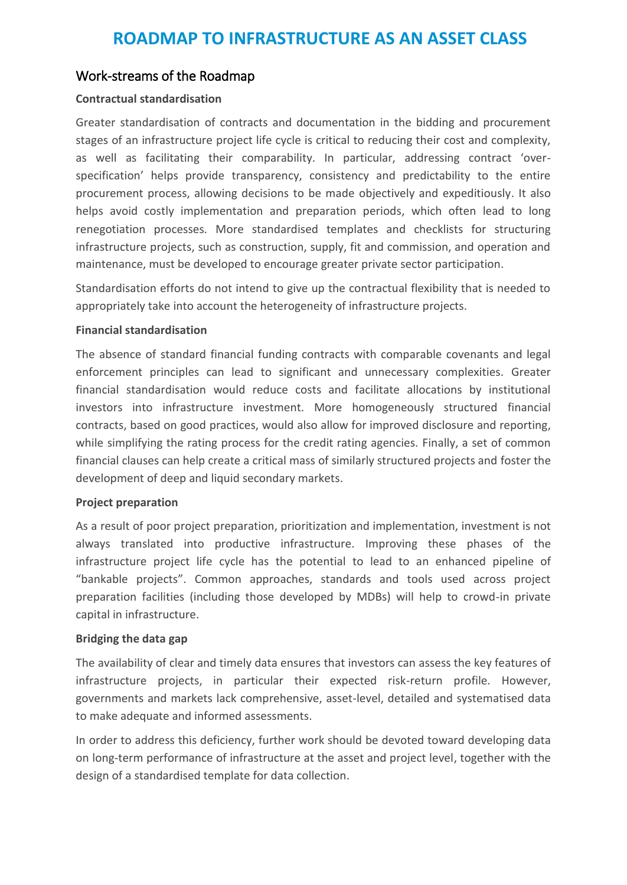## Work-streams of the Roadmap

### **Contractual standardisation**

Greater standardisation of contracts and documentation in the bidding and procurement stages of an infrastructure project life cycle is critical to reducing their cost and complexity, as well as facilitating their comparability. In particular, addressing contract 'overspecification' helps provide transparency, consistency and predictability to the entire procurement process, allowing decisions to be made objectively and expeditiously. It also helps avoid costly implementation and preparation periods, which often lead to long renegotiation processes. More standardised templates and checklists for structuring infrastructure projects, such as construction, supply, fit and commission, and operation and maintenance, must be developed to encourage greater private sector participation.

Standardisation efforts do not intend to give up the contractual flexibility that is needed to appropriately take into account the heterogeneity of infrastructure projects.

#### **Financial standardisation**

The absence of standard financial funding contracts with comparable covenants and legal enforcement principles can lead to significant and unnecessary complexities. Greater financial standardisation would reduce costs and facilitate allocations by institutional investors into infrastructure investment. More homogeneously structured financial contracts, based on good practices, would also allow for improved disclosure and reporting, while simplifying the rating process for the credit rating agencies. Finally, a set of common financial clauses can help create a critical mass of similarly structured projects and foster the development of deep and liquid secondary markets.

#### **Project preparation**

As a result of poor project preparation, prioritization and implementation, investment is not always translated into productive infrastructure. Improving these phases of the infrastructure project life cycle has the potential to lead to an enhanced pipeline of "bankable projects". Common approaches, standards and tools used across project preparation facilities (including those developed by MDBs) will help to crowd-in private capital in infrastructure.

### **Bridging the data gap**

The availability of clear and timely data ensures that investors can assess the key features of infrastructure projects, in particular their expected risk-return profile. However, governments and markets lack comprehensive, asset-level, detailed and systematised data to make adequate and informed assessments.

In order to address this deficiency, further work should be devoted toward developing data on long-term performance of infrastructure at the asset and project level, together with the design of a standardised template for data collection.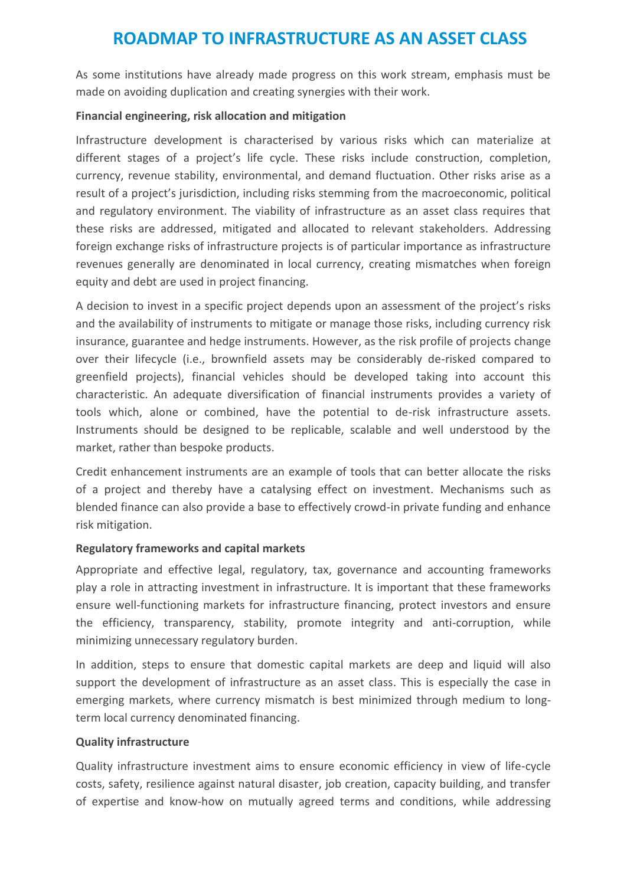As some institutions have already made progress on this work stream, emphasis must be made on avoiding duplication and creating synergies with their work.

#### **Financial engineering, risk allocation and mitigation**

Infrastructure development is characterised by various risks which can materialize at different stages of a project's life cycle. These risks include construction, completion, currency, revenue stability, environmental, and demand fluctuation. Other risks arise as a result of a project's jurisdiction, including risks stemming from the macroeconomic, political and regulatory environment. The viability of infrastructure as an asset class requires that these risks are addressed, mitigated and allocated to relevant stakeholders. Addressing foreign exchange risks of infrastructure projects is of particular importance as infrastructure revenues generally are denominated in local currency, creating mismatches when foreign equity and debt are used in project financing.

A decision to invest in a specific project depends upon an assessment of the project's risks and the availability of instruments to mitigate or manage those risks, including currency risk insurance, guarantee and hedge instruments. However, as the risk profile of projects change over their lifecycle (i.e., brownfield assets may be considerably de-risked compared to greenfield projects), financial vehicles should be developed taking into account this characteristic. An adequate diversification of financial instruments provides a variety of tools which, alone or combined, have the potential to de-risk infrastructure assets. Instruments should be designed to be replicable, scalable and well understood by the market, rather than bespoke products.

Credit enhancement instruments are an example of tools that can better allocate the risks of a project and thereby have a catalysing effect on investment. Mechanisms such as blended finance can also provide a base to effectively crowd-in private funding and enhance risk mitigation.

### **Regulatory frameworks and capital markets**

Appropriate and effective legal, regulatory, tax, governance and accounting frameworks play a role in attracting investment in infrastructure. It is important that these frameworks ensure well-functioning markets for infrastructure financing, protect investors and ensure the efficiency, transparency, stability, promote integrity and anti-corruption, while minimizing unnecessary regulatory burden.

In addition, steps to ensure that domestic capital markets are deep and liquid will also support the development of infrastructure as an asset class. This is especially the case in emerging markets, where currency mismatch is best minimized through medium to longterm local currency denominated financing.

#### **Quality infrastructure**

Quality infrastructure investment aims to ensure economic efficiency in view of life-cycle costs, safety, resilience against natural disaster, job creation, capacity building, and transfer of expertise and know-how on mutually agreed terms and conditions, while addressing